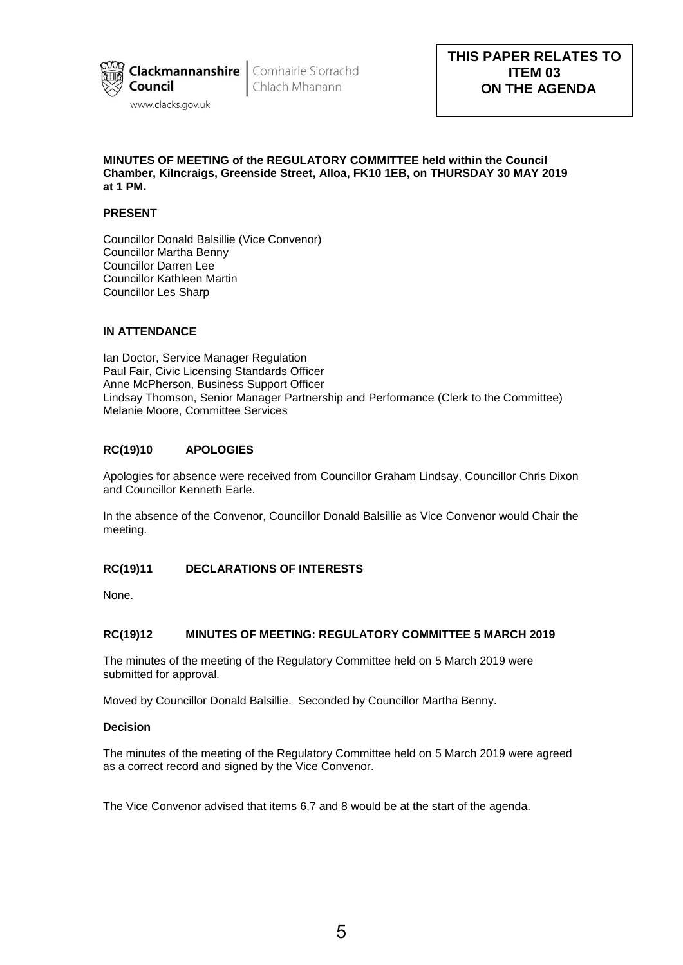

Chlach Mhanann

## **MINUTES OF MEETING of the REGULATORY COMMITTEE held within the Council Chamber, Kilncraigs, Greenside Street, Alloa, FK10 1EB, on THURSDAY 30 MAY 2019 at 1 PM.**

# **PRESENT**

Councillor Donald Balsillie (Vice Convenor) Councillor Martha Benny Councillor Darren Lee Councillor Kathleen Martin Councillor Les Sharp

# **IN ATTENDANCE**

Ian Doctor, Service Manager Regulation Paul Fair, Civic Licensing Standards Officer Anne McPherson, Business Support Officer Lindsay Thomson, Senior Manager Partnership and Performance (Clerk to the Committee) Melanie Moore, Committee Services

# **RC(19)10 APOLOGIES**

Apologies for absence were received from Councillor Graham Lindsay, Councillor Chris Dixon and Councillor Kenneth Earle.

In the absence of the Convenor, Councillor Donald Balsillie as Vice Convenor would Chair the meeting.

# **RC(19)11 DECLARATIONS OF INTERESTS**

None.

# **RC(19)12 MINUTES OF MEETING: REGULATORY COMMITTEE 5 MARCH 2019**

The minutes of the meeting of the Regulatory Committee held on 5 March 2019 were submitted for approval.

Moved by Councillor Donald Balsillie. Seconded by Councillor Martha Benny.

### **Decision**

The minutes of the meeting of the Regulatory Committee held on 5 March 2019 were agreed as a correct record and signed by the Vice Convenor.

The Vice Convenor advised that items 6,7 and 8 would be at the start of the agenda.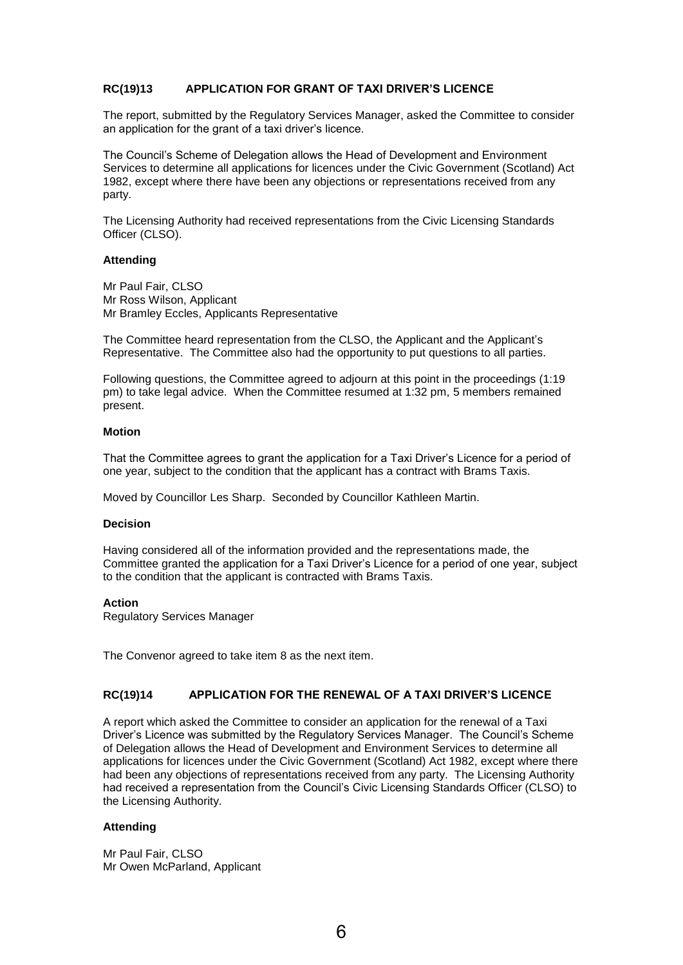# **RC(19)13 APPLICATION FOR GRANT OF TAXI DRIVER'S LICENCE**

The report, submitted by the Regulatory Services Manager, asked the Committee to consider an application for the grant of a taxi driver's licence.

The Council's Scheme of Delegation allows the Head of Development and Environment Services to determine all applications for licences under the Civic Government (Scotland) Act 1982, except where there have been any objections or representations received from any party.

The Licensing Authority had received representations from the Civic Licensing Standards Officer (CLSO).

#### **Attending**

Mr Paul Fair, CLSO Mr Ross Wilson, Applicant Mr Bramley Eccles, Applicants Representative

The Committee heard representation from the CLSO, the Applicant and the Applicant's Representative. The Committee also had the opportunity to put questions to all parties.

Following questions, the Committee agreed to adjourn at this point in the proceedings (1:19 pm) to take legal advice. When the Committee resumed at 1:32 pm, 5 members remained present.

### **Motion**

That the Committee agrees to grant the application for a Taxi Driver's Licence for a period of one year, subject to the condition that the applicant has a contract with Brams Taxis.

Moved by Councillor Les Sharp. Seconded by Councillor Kathleen Martin.

#### **Decision**

Having considered all of the information provided and the representations made, the Committee granted the application for a Taxi Driver's Licence for a period of one year, subject to the condition that the applicant is contracted with Brams Taxis.

### **Action**

Regulatory Services Manager

The Convenor agreed to take item 8 as the next item.

### **RC(19)14 APPLICATION FOR THE RENEWAL OF A TAXI DRIVER'S LICENCE**

A report which asked the Committee to consider an application for the renewal of a Taxi Driver's Licence was submitted by the Regulatory Services Manager. The Council's Scheme of Delegation allows the Head of Development and Environment Services to determine all applications for licences under the Civic Government (Scotland) Act 1982, except where there had been any objections of representations received from any party. The Licensing Authority had received a representation from the Council's Civic Licensing Standards Officer (CLSO) to the Licensing Authority.

### **Attending**

Mr Paul Fair, CLSO Mr Owen McParland, Applicant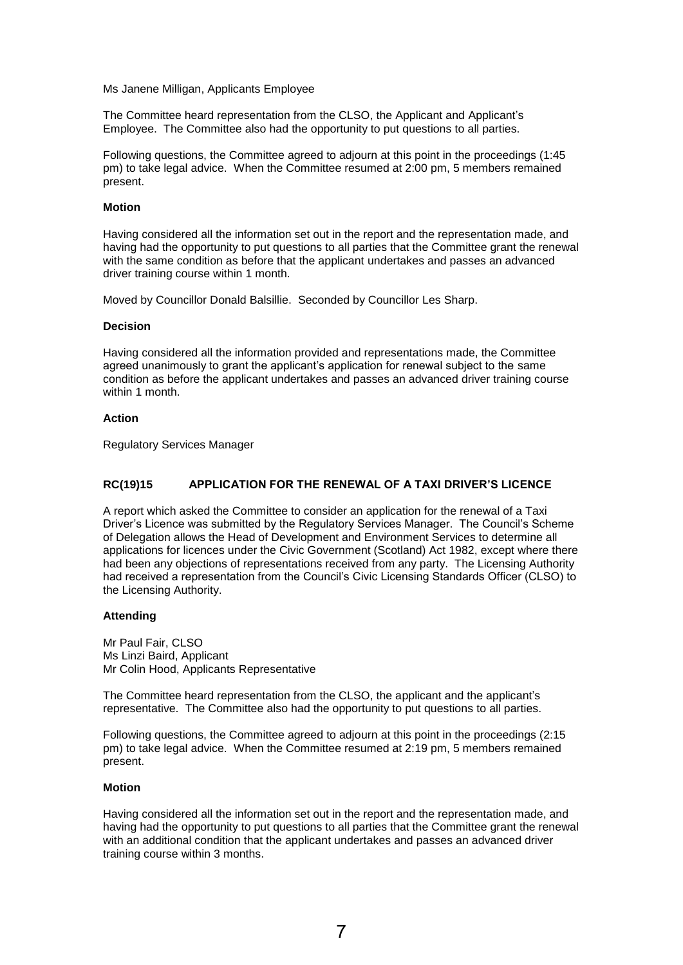Ms Janene Milligan, Applicants Employee

The Committee heard representation from the CLSO, the Applicant and Applicant's Employee. The Committee also had the opportunity to put questions to all parties.

Following questions, the Committee agreed to adjourn at this point in the proceedings (1:45 pm) to take legal advice. When the Committee resumed at 2:00 pm, 5 members remained present.

### **Motion**

Having considered all the information set out in the report and the representation made, and having had the opportunity to put questions to all parties that the Committee grant the renewal with the same condition as before that the applicant undertakes and passes an advanced driver training course within 1 month.

Moved by Councillor Donald Balsillie. Seconded by Councillor Les Sharp.

#### **Decision**

Having considered all the information provided and representations made, the Committee agreed unanimously to grant the applicant's application for renewal subject to the same condition as before the applicant undertakes and passes an advanced driver training course within 1 month.

### **Action**

Regulatory Services Manager

# **RC(19)15 APPLICATION FOR THE RENEWAL OF A TAXI DRIVER'S LICENCE**

A report which asked the Committee to consider an application for the renewal of a Taxi Driver's Licence was submitted by the Regulatory Services Manager. The Council's Scheme of Delegation allows the Head of Development and Environment Services to determine all applications for licences under the Civic Government (Scotland) Act 1982, except where there had been any objections of representations received from any party. The Licensing Authority had received a representation from the Council's Civic Licensing Standards Officer (CLSO) to the Licensing Authority.

### **Attending**

Mr Paul Fair, CLSO Ms Linzi Baird, Applicant Mr Colin Hood, Applicants Representative

The Committee heard representation from the CLSO, the applicant and the applicant's representative. The Committee also had the opportunity to put questions to all parties.

Following questions, the Committee agreed to adjourn at this point in the proceedings (2:15 pm) to take legal advice. When the Committee resumed at 2:19 pm, 5 members remained present.

### **Motion**

Having considered all the information set out in the report and the representation made, and having had the opportunity to put questions to all parties that the Committee grant the renewal with an additional condition that the applicant undertakes and passes an advanced driver training course within 3 months.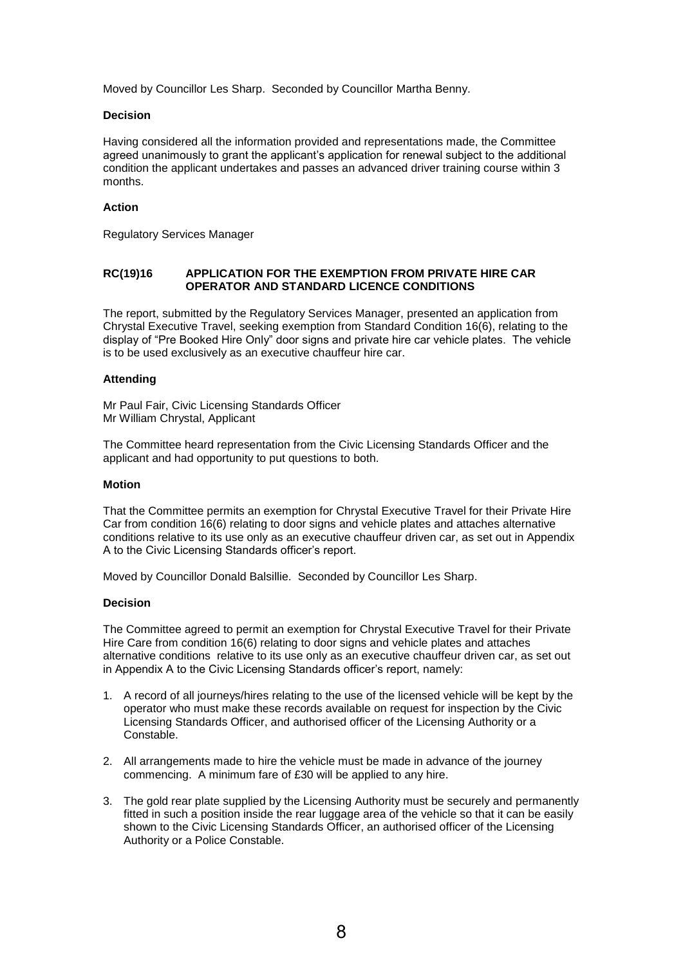Moved by Councillor Les Sharp. Seconded by Councillor Martha Benny.

### **Decision**

Having considered all the information provided and representations made, the Committee agreed unanimously to grant the applicant's application for renewal subject to the additional condition the applicant undertakes and passes an advanced driver training course within 3 months.

### **Action**

Regulatory Services Manager

### **RC(19)16 APPLICATION FOR THE EXEMPTION FROM PRIVATE HIRE CAR OPERATOR AND STANDARD LICENCE CONDITIONS**

The report, submitted by the Regulatory Services Manager, presented an application from Chrystal Executive Travel, seeking exemption from Standard Condition 16(6), relating to the display of "Pre Booked Hire Only" door signs and private hire car vehicle plates. The vehicle is to be used exclusively as an executive chauffeur hire car.

### **Attending**

Mr Paul Fair, Civic Licensing Standards Officer Mr William Chrystal, Applicant

The Committee heard representation from the Civic Licensing Standards Officer and the applicant and had opportunity to put questions to both.

### **Motion**

That the Committee permits an exemption for Chrystal Executive Travel for their Private Hire Car from condition 16(6) relating to door signs and vehicle plates and attaches alternative conditions relative to its use only as an executive chauffeur driven car, as set out in Appendix A to the Civic Licensing Standards officer's report.

Moved by Councillor Donald Balsillie. Seconded by Councillor Les Sharp.

### **Decision**

The Committee agreed to permit an exemption for Chrystal Executive Travel for their Private Hire Care from condition 16(6) relating to door signs and vehicle plates and attaches alternative conditions relative to its use only as an executive chauffeur driven car, as set out in Appendix A to the Civic Licensing Standards officer's report, namely:

- 1. A record of all journeys/hires relating to the use of the licensed vehicle will be kept by the operator who must make these records available on request for inspection by the Civic Licensing Standards Officer, and authorised officer of the Licensing Authority or a Constable.
- 2. All arrangements made to hire the vehicle must be made in advance of the journey commencing. A minimum fare of £30 will be applied to any hire.
- 3. The gold rear plate supplied by the Licensing Authority must be securely and permanently fitted in such a position inside the rear luggage area of the vehicle so that it can be easily shown to the Civic Licensing Standards Officer, an authorised officer of the Licensing Authority or a Police Constable.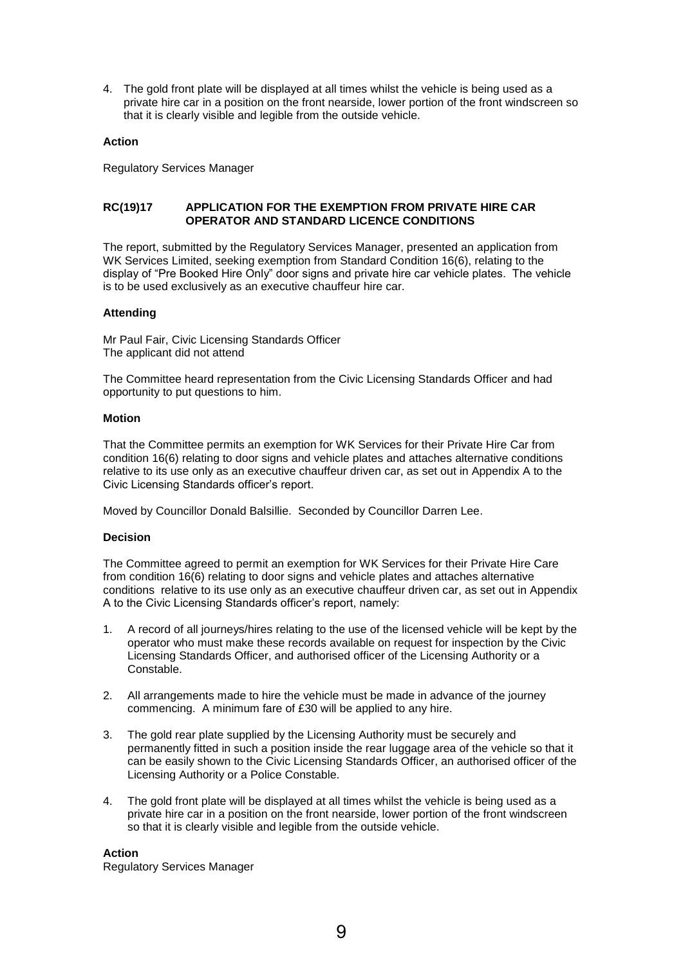4. The gold front plate will be displayed at all times whilst the vehicle is being used as a private hire car in a position on the front nearside, lower portion of the front windscreen so that it is clearly visible and legible from the outside vehicle.

### **Action**

Regulatory Services Manager

## **RC(19)17 APPLICATION FOR THE EXEMPTION FROM PRIVATE HIRE CAR OPERATOR AND STANDARD LICENCE CONDITIONS**

The report, submitted by the Regulatory Services Manager, presented an application from WK Services Limited, seeking exemption from Standard Condition 16(6), relating to the display of "Pre Booked Hire Only" door signs and private hire car vehicle plates. The vehicle is to be used exclusively as an executive chauffeur hire car.

### **Attending**

Mr Paul Fair, Civic Licensing Standards Officer The applicant did not attend

The Committee heard representation from the Civic Licensing Standards Officer and had opportunity to put questions to him.

### **Motion**

That the Committee permits an exemption for WK Services for their Private Hire Car from condition 16(6) relating to door signs and vehicle plates and attaches alternative conditions relative to its use only as an executive chauffeur driven car, as set out in Appendix A to the Civic Licensing Standards officer's report.

Moved by Councillor Donald Balsillie. Seconded by Councillor Darren Lee.

### **Decision**

The Committee agreed to permit an exemption for WK Services for their Private Hire Care from condition 16(6) relating to door signs and vehicle plates and attaches alternative conditions relative to its use only as an executive chauffeur driven car, as set out in Appendix A to the Civic Licensing Standards officer's report, namely:

- 1. A record of all journeys/hires relating to the use of the licensed vehicle will be kept by the operator who must make these records available on request for inspection by the Civic Licensing Standards Officer, and authorised officer of the Licensing Authority or a Constable.
- 2. All arrangements made to hire the vehicle must be made in advance of the journey commencing. A minimum fare of £30 will be applied to any hire.
- 3. The gold rear plate supplied by the Licensing Authority must be securely and permanently fitted in such a position inside the rear luggage area of the vehicle so that it can be easily shown to the Civic Licensing Standards Officer, an authorised officer of the Licensing Authority or a Police Constable.
- 4. The gold front plate will be displayed at all times whilst the vehicle is being used as a private hire car in a position on the front nearside, lower portion of the front windscreen so that it is clearly visible and legible from the outside vehicle.

### **Action**

Regulatory Services Manager